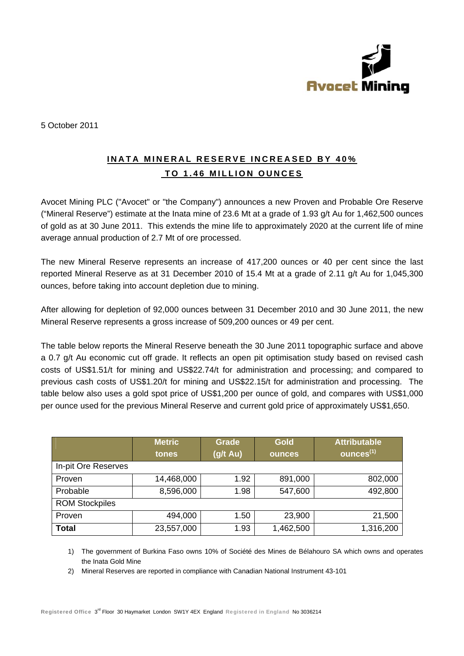

5 October 2011

## **INATA MINERAL RESERVE INCREASED BY 40%** TO 1.46 MILLION OUNCES

Avocet Mining PLC ("Avocet" or "the Company") announces a new Proven and Probable Ore Reserve ("Mineral Reserve") estimate at the Inata mine of 23.6 Mt at a grade of 1.93 g/t Au for 1,462,500 ounces of gold as at 30 June 2011. This extends the mine life to approximately 2020 at the current life of mine average annual production of 2.7 Mt of ore processed.

The new Mineral Reserve represents an increase of 417,200 ounces or 40 per cent since the last reported Mineral Reserve as at 31 December 2010 of 15.4 Mt at a grade of 2.11 g/t Au for 1,045,300 ounces, before taking into account depletion due to mining.

After allowing for depletion of 92,000 ounces between 31 December 2010 and 30 June 2011, the new Mineral Reserve represents a gross increase of 509,200 ounces or 49 per cent.

The table below reports the Mineral Reserve beneath the 30 June 2011 topographic surface and above a 0.7 g/t Au economic cut off grade. It reflects an open pit optimisation study based on revised cash costs of US\$1.51/t for mining and US\$22.74/t for administration and processing; and compared to previous cash costs of US\$1,20/t for mining and US\$22,15/t for administration and processing. The table below also uses a gold spot price of US\$1,200 per ounce of gold, and compares with US\$1,000 per ounce used for the previous Mineral Reserve and current gold price of approximately US\$1,650.

|                       | <b>Metric</b><br>tones | <b>Grade</b><br>(g/t Au) | <b>Gold</b><br><b>ounces</b> | <b>Attributable</b><br>$\overline{\textsf{ounces}}^{(1)}$ |  |  |  |
|-----------------------|------------------------|--------------------------|------------------------------|-----------------------------------------------------------|--|--|--|
| In-pit Ore Reserves   |                        |                          |                              |                                                           |  |  |  |
| Proven                | 14,468,000             | 1.92                     | 891,000                      | 802,000                                                   |  |  |  |
| Probable              | 8,596,000              | 1.98                     | 547,600                      | 492,800                                                   |  |  |  |
| <b>ROM Stockpiles</b> |                        |                          |                              |                                                           |  |  |  |
| Proven                | 494,000                | 1.50                     | 23,900                       | 21,500                                                    |  |  |  |
| <b>Total</b>          | 23,557,000             | 1.93                     | 1,462,500                    | 1,316,200                                                 |  |  |  |

1) The government of Burkina Faso owns 10% of Société des Mines de Bélahouro SA which owns and operates the Inata Gold Mine

2) Mineral Reserves are reported in compliance with Canadian National Instrument 43-101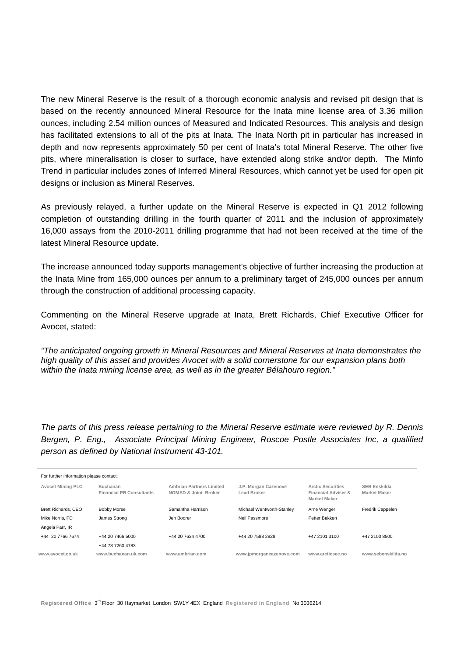The new Mineral Reserve is the result of a thorough economic analysis and revised pit design that is based on the recently announced Mineral Resource for the Inata mine license area of 3.36 million ounces, including 2.54 million ounces of Measured and Indicated Resources. This analysis and design has facilitated extensions to all of the pits at Inata. The Inata North pit in particular has increased in depth and now represents approximately 50 per cent of Inata's total Mineral Reserve. The other five pits, where mineralisation is closer to surface, have extended along strike and/or depth. The Minfo Trend in particular includes zones of Inferred Mineral Resources, which cannot yet be used for open pit designs or inclusion as Mineral Reserves.

As previously relayed, a further update on the Mineral Reserve is expected in Q1 2012 following completion of outstanding drilling in the fourth quarter of 2011 and the inclusion of approximately 16,000 assays from the 2010-2011 drilling programme that had not been received at the time of the latest Mineral Resource update.

The increase announced today supports management's objective of further increasing the production at the Inata Mine from 165,000 ounces per annum to a preliminary target of 245,000 ounces per annum through the construction of additional processing capacity.

Commenting on the Mineral Reserve upgrade at Inata, Brett Richards, Chief Executive Officer for Avocet, stated:

*"The anticipated ongoing growth in Mineral Resources and Mineral Reserves at Inata demonstrates the high quality of this asset and provides Avocet with a solid cornerstone for our expansion plans both within the Inata mining license area, as well as in the greater Bélahouro region."* 

*The parts of this press release pertaining to the Mineral Reserve estimate were reviewed by R. Dennis Bergen, P. Eng., Associate Principal Mining Engineer, Roscoe Postle Associates Inc, a qualified person as defined by National Instrument 43-101.* 

| For further information please contact: |                                             |                                                         |                                     |                                                                        |                                            |  |  |  |  |
|-----------------------------------------|---------------------------------------------|---------------------------------------------------------|-------------------------------------|------------------------------------------------------------------------|--------------------------------------------|--|--|--|--|
| <b>Avocet Mining PLC</b>                | Buchanan<br><b>Financial PR Consultants</b> | <b>Ambrian Partners Limited</b><br>NOMAD & Joint Broker | J.P. Morgan Cazenove<br>Lead Broker | <b>Arctic Securities</b><br>Financial Adviser &<br><b>Market Maker</b> | <b>SEB Enskilda</b><br><b>Market Maker</b> |  |  |  |  |
| Brett Richards, CEO                     | <b>Bobby Morse</b>                          | Samantha Harrison                                       | Michael Wentworth-Stanley           | Arne Wenger                                                            | Fredrik Cappelen                           |  |  |  |  |
| Mike Norris, FD                         | James Strong                                | Jen Boorer                                              | Neil Passmore                       | Petter Bakken                                                          |                                            |  |  |  |  |
| Angela Parr, IR                         |                                             |                                                         |                                     |                                                                        |                                            |  |  |  |  |
| +44 20 7766 7674                        | +44 20 7466 5000                            | +44 20 7634 4700                                        | +44 20 7588 2828                    | +47 2101 3100                                                          | +47 2100 8500                              |  |  |  |  |
|                                         | +44 78 7260 4783                            |                                                         |                                     |                                                                        |                                            |  |  |  |  |
| www.avocet.co.uk                        | www.buchanan.uk.com                         | www.ambrian.com                                         | www.jpmorgancazenove.com            | www.arcticsec.no                                                       | www.sebenskilda.no                         |  |  |  |  |